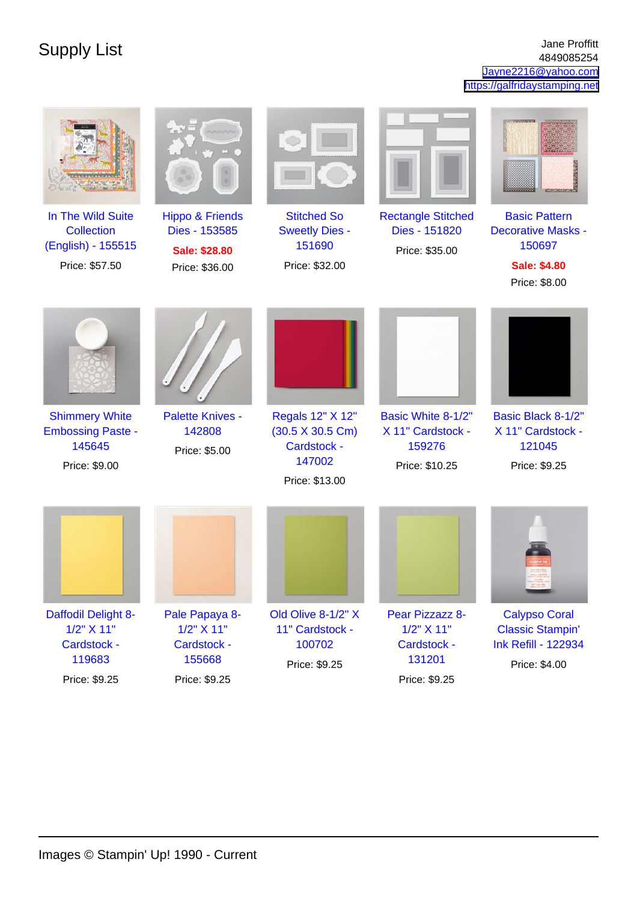Supply List Jane Proffitt Jane Proffitt Jane Proffitt Jane Proffitt Jane Proffitt 4849085254 [Jayne2216@yahoo.com](mailto:Jayne2216@yahoo.com) <https://galfridaystamping.net>

| In The Wild Suite<br><b>Collection</b><br>(English) - 155515<br>Price: \$57.50 | <b>Hippo &amp; Friends</b><br>Dies - 153585<br>Sale: \$28.80<br>Price: \$36.00 | <b>Stitched So</b><br><b>Sweetly Dies -</b><br>151690<br>Price: \$32.00                        | <b>Rectangle Stitched</b><br>Dies - 151820<br>Price: \$35.00            | <b>Basic Pattern</b><br><b>Decorative Masks -</b><br>150697<br><b>Sale: \$4.80</b><br>Price: \$8.00 |
|--------------------------------------------------------------------------------|--------------------------------------------------------------------------------|------------------------------------------------------------------------------------------------|-------------------------------------------------------------------------|-----------------------------------------------------------------------------------------------------|
| <b>Shimmery White</b><br><b>Embossing Paste -</b><br>145645<br>Price: \$9.00   | <b>Palette Knives -</b><br>142808<br>Price: \$5.00                             | Regals 12" X 12"<br>$(30.5 \times 30.5 \text{ Cm})$<br>Cardstock -<br>147002<br>Price: \$13.00 | Basic White 8-1/2"<br>X 11" Cardstock -<br>159276<br>Price: \$10.25     | Basic Black 8-1/2"<br>X 11" Cardstock -<br>121045<br>Price: \$9.25                                  |
|                                                                                |                                                                                |                                                                                                |                                                                         |                                                                                                     |
| Daffodil Delight 8-<br>1/2" X 11"<br>Cardstock -<br>119683<br>Price: \$9.25    | Pale Papaya 8-<br>1/2" X 11"<br>Cardstock -<br>155668<br>Price: \$9.25         | Old Olive 8-1/2" X<br>11" Cardstock -<br>100702<br>Price: \$9.25                               | Pear Pizzazz 8-<br>1/2" X 11"<br>Cardstock -<br>131201<br>Price: \$9.25 | <b>Calypso Coral</b><br><b>Classic Stampin'</b><br><b>Ink Refill - 122934</b><br>Price: \$4.00      |